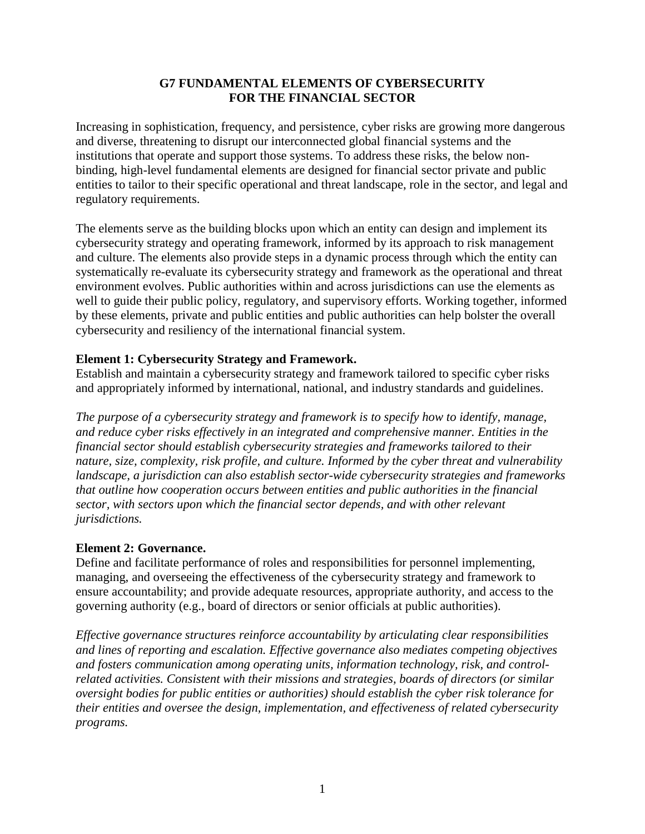### **G7 FUNDAMENTAL ELEMENTS OF CYBERSECURITY FOR THE FINANCIAL SECTOR**

Increasing in sophistication, frequency, and persistence, cyber risks are growing more dangerous and diverse, threatening to disrupt our interconnected global financial systems and the institutions that operate and support those systems. To address these risks, the below nonbinding, high-level fundamental elements are designed for financial sector private and public entities to tailor to their specific operational and threat landscape, role in the sector, and legal and regulatory requirements.

The elements serve as the building blocks upon which an entity can design and implement its cybersecurity strategy and operating framework, informed by its approach to risk management and culture. The elements also provide steps in a dynamic process through which the entity can systematically re-evaluate its cybersecurity strategy and framework as the operational and threat environment evolves. Public authorities within and across jurisdictions can use the elements as well to guide their public policy, regulatory, and supervisory efforts. Working together, informed by these elements, private and public entities and public authorities can help bolster the overall cybersecurity and resiliency of the international financial system.

## **Element 1: Cybersecurity Strategy and Framework.**

Establish and maintain a cybersecurity strategy and framework tailored to specific cyber risks and appropriately informed by international, national, and industry standards and guidelines.

*The purpose of a cybersecurity strategy and framework is to specify how to identify, manage, and reduce cyber risks effectively in an integrated and comprehensive manner. Entities in the financial sector should establish cybersecurity strategies and frameworks tailored to their nature, size, complexity, risk profile, and culture. Informed by the cyber threat and vulnerability landscape, a jurisdiction can also establish sector-wide cybersecurity strategies and frameworks that outline how cooperation occurs between entities and public authorities in the financial sector, with sectors upon which the financial sector depends, and with other relevant jurisdictions.*

#### **Element 2: Governance.**

Define and facilitate performance of roles and responsibilities for personnel implementing, managing, and overseeing the effectiveness of the cybersecurity strategy and framework to ensure accountability; and provide adequate resources, appropriate authority, and access to the governing authority (e.g., board of directors or senior officials at public authorities).

*Effective governance structures reinforce accountability by articulating clear responsibilities and lines of reporting and escalation. Effective governance also mediates competing objectives and fosters communication among operating units, information technology, risk, and controlrelated activities. Consistent with their missions and strategies, boards of directors (or similar oversight bodies for public entities or authorities) should establish the cyber risk tolerance for their entities and oversee the design, implementation, and effectiveness of related cybersecurity programs.*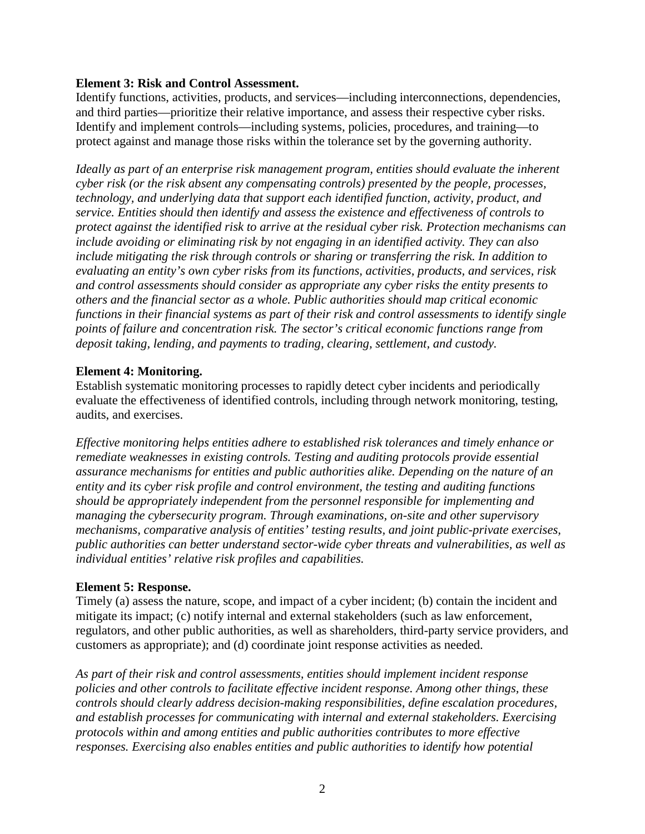#### **Element 3: Risk and Control Assessment.**

Identify functions, activities, products, and services—including interconnections, dependencies, and third parties—prioritize their relative importance, and assess their respective cyber risks. Identify and implement controls—including systems, policies, procedures, and training—to protect against and manage those risks within the tolerance set by the governing authority.

*Ideally as part of an enterprise risk management program, entities should evaluate the inherent cyber risk (or the risk absent any compensating controls) presented by the people, processes, technology, and underlying data that support each identified function, activity, product, and service. Entities should then identify and assess the existence and effectiveness of controls to protect against the identified risk to arrive at the residual cyber risk. Protection mechanisms can include avoiding or eliminating risk by not engaging in an identified activity. They can also include mitigating the risk through controls or sharing or transferring the risk. In addition to evaluating an entity's own cyber risks from its functions, activities, products, and services, risk and control assessments should consider as appropriate any cyber risks the entity presents to others and the financial sector as a whole. Public authorities should map critical economic functions in their financial systems as part of their risk and control assessments to identify single points of failure and concentration risk. The sector's critical economic functions range from deposit taking, lending, and payments to trading, clearing, settlement, and custody.* 

### **Element 4: Monitoring.**

Establish systematic monitoring processes to rapidly detect cyber incidents and periodically evaluate the effectiveness of identified controls, including through network monitoring, testing, audits, and exercises.

*Effective monitoring helps entities adhere to established risk tolerances and timely enhance or remediate weaknesses in existing controls. Testing and auditing protocols provide essential assurance mechanisms for entities and public authorities alike. Depending on the nature of an entity and its cyber risk profile and control environment, the testing and auditing functions should be appropriately independent from the personnel responsible for implementing and managing the cybersecurity program. Through examinations, on-site and other supervisory mechanisms, comparative analysis of entities' testing results, and joint public-private exercises, public authorities can better understand sector-wide cyber threats and vulnerabilities, as well as individual entities' relative risk profiles and capabilities.*

## **Element 5: Response.**

Timely (a) assess the nature, scope, and impact of a cyber incident; (b) contain the incident and mitigate its impact; (c) notify internal and external stakeholders (such as law enforcement, regulators, and other public authorities, as well as shareholders, third-party service providers, and customers as appropriate); and (d) coordinate joint response activities as needed.

*As part of their risk and control assessments, entities should implement incident response policies and other controls to facilitate effective incident response. Among other things, these controls should clearly address decision-making responsibilities, define escalation procedures, and establish processes for communicating with internal and external stakeholders. Exercising protocols within and among entities and public authorities contributes to more effective responses. Exercising also enables entities and public authorities to identify how potential*